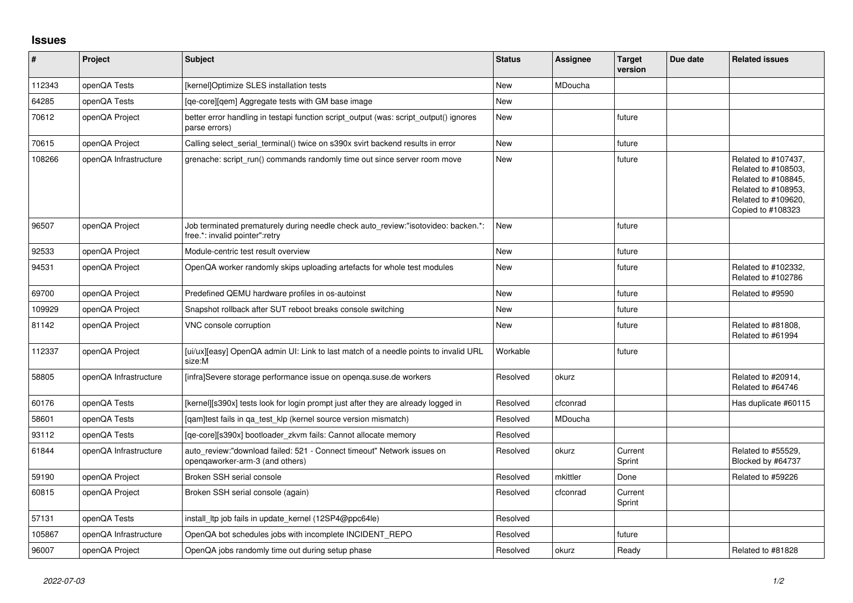## **Issues**

| #      | Project               | <b>Subject</b>                                                                                                       | <b>Status</b> | <b>Assignee</b> | <b>Target</b><br>version | Due date | <b>Related issues</b>                                                                                                                |
|--------|-----------------------|----------------------------------------------------------------------------------------------------------------------|---------------|-----------------|--------------------------|----------|--------------------------------------------------------------------------------------------------------------------------------------|
| 112343 | openQA Tests          | [kernel]Optimize SLES installation tests                                                                             | New           | MDoucha         |                          |          |                                                                                                                                      |
| 64285  | openQA Tests          | [ge-core][gem] Aggregate tests with GM base image                                                                    | <b>New</b>    |                 |                          |          |                                                                                                                                      |
| 70612  | openQA Project        | better error handling in testapi function script output (was: script output() ignores<br>parse errors)               | New           |                 | future                   |          |                                                                                                                                      |
| 70615  | openQA Project        | Calling select_serial_terminal() twice on s390x svirt backend results in error                                       | <b>New</b>    |                 | future                   |          |                                                                                                                                      |
| 108266 | openQA Infrastructure | grenache: script run() commands randomly time out since server room move                                             | <b>New</b>    |                 | future                   |          | Related to #107437,<br>Related to #108503,<br>Related to #108845,<br>Related to #108953,<br>Related to #109620,<br>Copied to #108323 |
| 96507  | openQA Project        | Job terminated prematurely during needle check auto review:"isotovideo: backen.*:<br>free.*: invalid pointer": retry | <b>New</b>    |                 | future                   |          |                                                                                                                                      |
| 92533  | openQA Project        | Module-centric test result overview                                                                                  | <b>New</b>    |                 | future                   |          |                                                                                                                                      |
| 94531  | openQA Project        | OpenQA worker randomly skips uploading artefacts for whole test modules                                              | <b>New</b>    |                 | future                   |          | Related to #102332,<br>Related to #102786                                                                                            |
| 69700  | openQA Project        | Predefined QEMU hardware profiles in os-autoinst                                                                     | <b>New</b>    |                 | future                   |          | Related to #9590                                                                                                                     |
| 109929 | openQA Project        | Snapshot rollback after SUT reboot breaks console switching                                                          | <b>New</b>    |                 | future                   |          |                                                                                                                                      |
| 81142  | openQA Project        | VNC console corruption                                                                                               | <b>New</b>    |                 | future                   |          | Related to #81808,<br>Related to #61994                                                                                              |
| 112337 | openQA Project        | [ui/ux][easy] OpenQA admin UI: Link to last match of a needle points to invalid URL<br>size:M                        | Workable      |                 | future                   |          |                                                                                                                                      |
| 58805  | openQA Infrastructure | [infra]Severe storage performance issue on openga.suse.de workers                                                    | Resolved      | okurz           |                          |          | Related to #20914,<br>Related to #64746                                                                                              |
| 60176  | openQA Tests          | [kernel][s390x] tests look for login prompt just after they are already logged in                                    | Resolved      | cfconrad        |                          |          | Has duplicate #60115                                                                                                                 |
| 58601  | openQA Tests          | [gam]test fails in ga test klp (kernel source version mismatch)                                                      | Resolved      | MDoucha         |                          |          |                                                                                                                                      |
| 93112  | openQA Tests          | [qe-core][s390x] bootloader_zkvm fails: Cannot allocate memory                                                       | Resolved      |                 |                          |          |                                                                                                                                      |
| 61844  | openQA Infrastructure | auto review:"download failed: 521 - Connect timeout" Network issues on<br>opengaworker-arm-3 (and others)            | Resolved      | okurz           | Current<br>Sprint        |          | Related to #55529.<br>Blocked by #64737                                                                                              |
| 59190  | openQA Project        | Broken SSH serial console                                                                                            | Resolved      | mkittler        | Done                     |          | Related to #59226                                                                                                                    |
| 60815  | openQA Project        | Broken SSH serial console (again)                                                                                    | Resolved      | cfconrad        | Current<br>Sprint        |          |                                                                                                                                      |
| 57131  | openQA Tests          | install Itp job fails in update kernel (12SP4@ppc64le)                                                               | Resolved      |                 |                          |          |                                                                                                                                      |
| 105867 | openQA Infrastructure | OpenQA bot schedules jobs with incomplete INCIDENT_REPO                                                              | Resolved      |                 | future                   |          |                                                                                                                                      |
| 96007  | openQA Project        | OpenQA jobs randomly time out during setup phase                                                                     | Resolved      | okurz           | Ready                    |          | Related to #81828                                                                                                                    |